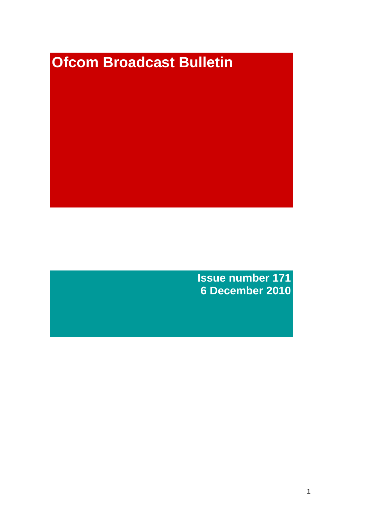# **Ofcom Broadcast Bulletin**

**Issue number 171 6 December 2010**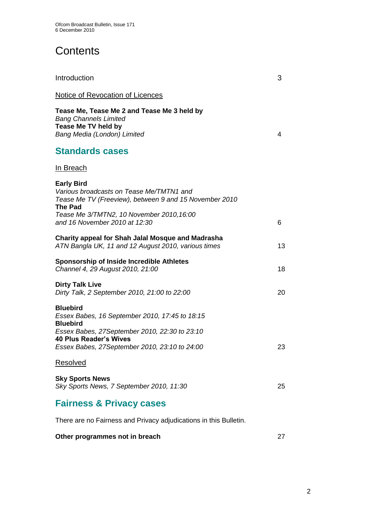# **Contents**

| Introduction                                                                                                                                                                                                            | 3  |
|-------------------------------------------------------------------------------------------------------------------------------------------------------------------------------------------------------------------------|----|
| <b>Notice of Revocation of Licences</b>                                                                                                                                                                                 |    |
| Tease Me, Tease Me 2 and Tease Me 3 held by<br><b>Bang Channels Limited</b><br>Tease Me TV held by<br>Bang Media (London) Limited                                                                                       | 4  |
| <b>Standards cases</b>                                                                                                                                                                                                  |    |
| In Breach                                                                                                                                                                                                               |    |
| <b>Early Bird</b><br>Various broadcasts on Tease Me/TMTN1 and<br>Tease Me TV (Freeview), between 9 and 15 November 2010<br><b>The Pad</b><br>Tease Me 3/TMTN2, 10 November 2010, 16:00<br>and 16 November 2010 at 12:30 | 6  |
| Charity appeal for Shah Jalal Mosque and Madrasha<br>ATN Bangla UK, 11 and 12 August 2010, various times                                                                                                                | 13 |
| <b>Sponsorship of Inside Incredible Athletes</b><br>Channel 4, 29 August 2010, 21:00                                                                                                                                    | 18 |
| <b>Dirty Talk Live</b><br>Dirty Talk, 2 September 2010, 21:00 to 22:00                                                                                                                                                  | 20 |
| <b>Bluebird</b><br>Essex Babes, 16 September 2010, 17:45 to 18:15<br><b>Bluebird</b><br>Essex Babes, 27September 2010, 22:30 to 23:10<br><b>40 Plus Reader's Wives</b><br>Essex Babes, 27September 2010, 23:10 to 24:00 | 23 |
| <b>Resolved</b>                                                                                                                                                                                                         |    |
| <b>Sky Sports News</b><br>Sky Sports News, 7 September 2010, 11:30                                                                                                                                                      | 25 |
| <b>Fairness &amp; Privacy cases</b>                                                                                                                                                                                     |    |

There are no Fairness and Privacy adjudications in this Bulletin.

## **Other programmes not in breach 27 and 27 and 27 and 27 and 27 and 27 and 27 and 27 and 27 and 27 and 27 and 27 and 27 and 27 and 27 and 27 and 27 and 27 and 27 and 27 and 27 and 27 and 27 and 27 and 27 and 27 and 27 and 2**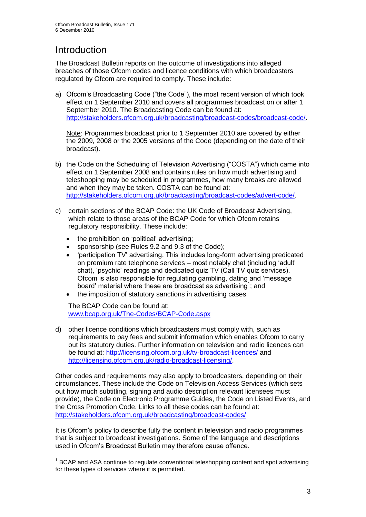# **Introduction**

1

The Broadcast Bulletin reports on the outcome of investigations into alleged breaches of those Ofcom codes and licence conditions with which broadcasters regulated by Ofcom are required to comply. These include:

a) Ofcom"s Broadcasting Code ("the Code"), the most recent version of which took effect on 1 September 2010 and covers all programmes broadcast on or after 1 September 2010. The Broadcasting Code can be found at: [http://stakeholders.ofcom.org.uk/broadcasting/broadcast-codes/broadcast-code/.](http://stakeholders.ofcom.org.uk/broadcasting/broadcast-codes/broadcast-code/)

Note: Programmes broadcast prior to 1 September 2010 are covered by either the 2009, 2008 or the 2005 versions of the Code (depending on the date of their broadcast).

- b) the Code on the Scheduling of Television Advertising ("COSTA") which came into effect on 1 September 2008 and contains rules on how much advertising and teleshopping may be scheduled in programmes, how many breaks are allowed and when they may be taken. COSTA can be found at: [http://stakeholders.ofcom.org.uk/broadcasting/broadcast-codes/advert-code/.](http://stakeholders.ofcom.org.uk/broadcasting/broadcast-codes/advert-code/)
- c) certain sections of the BCAP Code: the UK Code of Broadcast Advertising, which relate to those areas of the BCAP Code for which Ofcom retains regulatory responsibility. These include:
	- the prohibition on 'political' advertising;
	- sponsorship (see Rules 9.2 and 9.3 of the Code);
	- "participation TV" advertising. This includes long-form advertising predicated on premium rate telephone services – most notably chat (including "adult" chat), "psychic" readings and dedicated quiz TV (Call TV quiz services). Ofcom is also responsible for regulating gambling, dating and "message board' material where these are broadcast as advertising<sup>1</sup>; and
	- the imposition of statutory sanctions in advertising cases.

The BCAP Code can be found at: [www.bcap.org.uk/The-Codes/BCAP-Code.aspx](http://www.bcap.org.uk/The-Codes/BCAP-Code.aspx)

d) other licence conditions which broadcasters must comply with, such as requirements to pay fees and submit information which enables Ofcom to carry out its statutory duties. Further information on television and radio licences can be found at:<http://licensing.ofcom.org.uk/tv-broadcast-licences/> and [http://licensing.ofcom.org.uk/radio-broadcast-licensing/.](http://licensing.ofcom.org.uk/radio-broadcast-licensing/)

Other codes and requirements may also apply to broadcasters, depending on their circumstances. These include the Code on Television Access Services (which sets out how much subtitling, signing and audio description relevant licensees must provide), the Code on Electronic Programme Guides, the Code on Listed Events, and the Cross Promotion Code. Links to all these codes can be found at: <http://stakeholders.ofcom.org.uk/broadcasting/broadcast-codes/>

It is Ofcom"s policy to describe fully the content in television and radio programmes that is subject to broadcast investigations. Some of the language and descriptions used in Ofcom"s Broadcast Bulletin may therefore cause offence.

<sup>&</sup>lt;sup>1</sup> BCAP and ASA continue to regulate conventional teleshopping content and spot advertising for these types of services where it is permitted.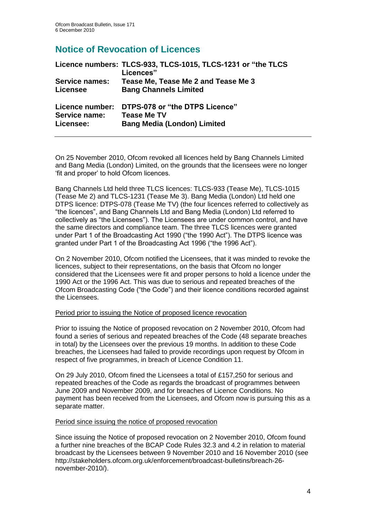## **Notice of Revocation of Licences**

|                       | Licence numbers: TLCS-933, TLCS-1015, TLCS-1231 or "the TLCS<br>Licences" |
|-----------------------|---------------------------------------------------------------------------|
| <b>Service names:</b> | Tease Me, Tease Me 2 and Tease Me 3                                       |
| Licensee              | <b>Bang Channels Limited</b>                                              |
| Licence number:       | DTPS-078 or "the DTPS Licence"                                            |
| Service name:         | <b>Tease Me TV</b>                                                        |
| Licensee:             | <b>Bang Media (London) Limited</b>                                        |

On 25 November 2010, Ofcom revoked all licences held by Bang Channels Limited and Bang Media (London) Limited, on the grounds that the licensees were no longer "fit and proper" to hold Ofcom licences.

Bang Channels Ltd held three TLCS licences: TLCS-933 (Tease Me), TLCS-1015 (Tease Me 2) and TLCS-1231 (Tease Me 3). Bang Media (London) Ltd held one DTPS licence: DTPS-078 (Tease Me TV) (the four licences referred to collectively as "the licences", and Bang Channels Ltd and Bang Media (London) Ltd referred to collectively as "the Licensees"). The Licensees are under common control, and have the same directors and compliance team. The three TLCS licences were granted under Part 1 of the Broadcasting Act 1990 ("the 1990 Act"). The DTPS licence was granted under Part 1 of the Broadcasting Act 1996 ("the 1996 Act").

On 2 November 2010, Ofcom notified the Licensees, that it was minded to revoke the licences, subject to their representations, on the basis that Ofcom no longer considered that the Licensees were fit and proper persons to hold a licence under the 1990 Act or the 1996 Act. This was due to serious and repeated breaches of the Ofcom Broadcasting Code ("the Code") and their licence conditions recorded against the Licensees.

## Period prior to issuing the Notice of proposed licence revocation

Prior to issuing the Notice of proposed revocation on 2 November 2010, Ofcom had found a series of serious and repeated breaches of the Code (48 separate breaches in total) by the Licensees over the previous 19 months. In addition to these Code breaches, the Licensees had failed to provide recordings upon request by Ofcom in respect of five programmes, in breach of Licence Condition 11.

On 29 July 2010, Ofcom fined the Licensees a total of £157,250 for serious and repeated breaches of the Code as regards the broadcast of programmes between June 2009 and November 2009, and for breaches of Licence Conditions. No payment has been received from the Licensees, and Ofcom now is pursuing this as a separate matter.

## Period since issuing the notice of proposed revocation

Since issuing the Notice of proposed revocation on 2 November 2010, Ofcom found a further nine breaches of the BCAP Code Rules 32.3 and 4.2 in relation to material broadcast by the Licensees between 9 November 2010 and 16 November 2010 (see http://stakeholders.ofcom.org.uk/enforcement/broadcast-bulletins/breach-26 november-2010/).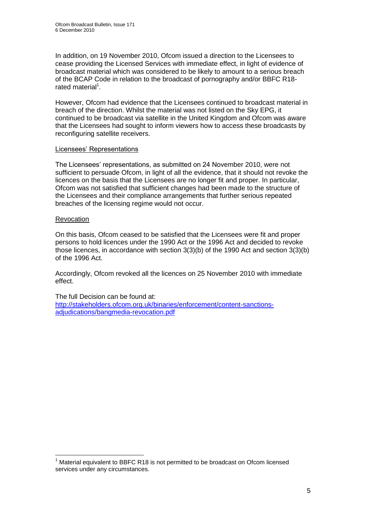In addition, on 19 November 2010, Ofcom issued a direction to the Licensees to cease providing the Licensed Services with immediate effect, in light of evidence of broadcast material which was considered to be likely to amount to a serious breach of the BCAP Code in relation to the broadcast of pornography and/or BBFC R18 rated material<sup>1</sup>.

However, Ofcom had evidence that the Licensees continued to broadcast material in breach of the direction. Whilst the material was not listed on the Sky EPG, it continued to be broadcast via satellite in the United Kingdom and Ofcom was aware that the Licensees had sought to inform viewers how to access these broadcasts by reconfiguring satellite receivers.

#### Licensees" Representations

The Licensees" representations, as submitted on 24 November 2010, were not sufficient to persuade Ofcom, in light of all the evidence, that it should not revoke the licences on the basis that the Licensees are no longer fit and proper. In particular, Ofcom was not satisfied that sufficient changes had been made to the structure of the Licensees and their compliance arrangements that further serious repeated breaches of the licensing regime would not occur.

#### **Revocation**

1

On this basis, Ofcom ceased to be satisfied that the Licensees were fit and proper persons to hold licences under the 1990 Act or the 1996 Act and decided to revoke those licences, in accordance with section 3(3)(b) of the 1990 Act and section 3(3)(b) of the 1996 Act.

Accordingly, Ofcom revoked all the licences on 25 November 2010 with immediate effect.

The full Decision can be found at: [http://stakeholders.ofcom.org.uk/binaries/enforcement/content-sanctions](http://stakeholders.ofcom.org.uk/binaries/enforcement/content-sanctions-adjudications/bangmedia-revocation.pdf)[adjudications/bangmedia-revocation.pdf](http://stakeholders.ofcom.org.uk/binaries/enforcement/content-sanctions-adjudications/bangmedia-revocation.pdf)

Material equivalent to BBFC R18 is not permitted to be broadcast on Ofcom licensed services under any circumstances.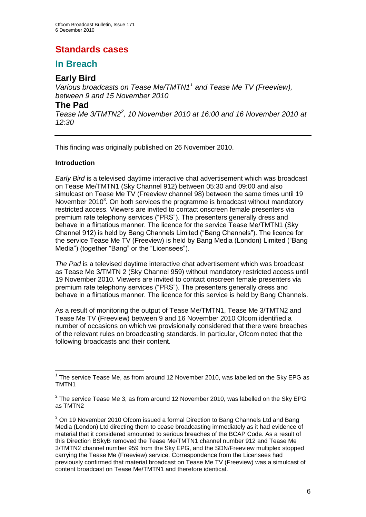## **Standards cases**

## **In Breach**

## **Early Bird**

*Various broadcasts on Tease Me/TMTN1<sup>1</sup> and Tease Me TV (Freeview), between 9 and 15 November 2010*

## **The Pad**

*Tease Me 3/TMTN2<sup>2</sup> , 10 November 2010 at 16:00 and 16 November 2010 at 12:30*

This finding was originally published on 26 November 2010.

## **Introduction**

1

*Early Bird* is a televised daytime interactive chat advertisement which was broadcast on Tease Me/TMTN1 (Sky Channel 912) between 05:30 and 09:00 and also simulcast on Tease Me TV (Freeview channel 98) between the same times until 19 November 2010 $3$ . On both services the programme is broadcast without mandatory restricted access. Viewers are invited to contact onscreen female presenters via premium rate telephony services ("PRS"). The presenters generally dress and behave in a flirtatious manner. The licence for the service Tease Me/TMTN1 (Sky Channel 912) is held by Bang Channels Limited ("Bang Channels"). The licence for the service Tease Me TV (Freeview) is held by Bang Media (London) Limited ("Bang Media") (together "Bang" or the "Licensees").

*The Pad* is a televised daytime interactive chat advertisement which was broadcast as Tease Me 3/TMTN 2 (Sky Channel 959) without mandatory restricted access until 19 November 2010. Viewers are invited to contact onscreen female presenters via premium rate telephony services ("PRS"). The presenters generally dress and behave in a flirtatious manner. The licence for this service is held by Bang Channels.

As a result of monitoring the output of Tease Me/TMTN1, Tease Me 3/TMTN2 and Tease Me TV (Freeview) between 9 and 16 November 2010 Ofcom identified a number of occasions on which we provisionally considered that there were breaches of the relevant rules on broadcasting standards. In particular, Ofcom noted that the following broadcasts and their content.

 $1$  The service Tease Me, as from around 12 November 2010, was labelled on the Sky EPG as TMTN1

 $2$  The service Tease Me 3, as from around 12 November 2010, was labelled on the Sky EPG as TMTN2

 $3$  On 19 November 2010 Ofcom issued a formal Direction to Bang Channels Ltd and Bang Media (London) Ltd directing them to cease broadcasting immediately as it had evidence of material that it considered amounted to serious breaches of the BCAP Code. As a result of this Direction BSkyB removed the Tease Me/TMTN1 channel number 912 and Tease Me 3/TMTN2 channel number 959 from the Sky EPG, and the SDN/Freeview multiplex stopped carrying the Tease Me (Freeview) service. Correspondence from the Licensees had previously confirmed that material broadcast on Tease Me TV (Freeview) was a simulcast of content broadcast on Tease Me/TMTN1 and therefore identical.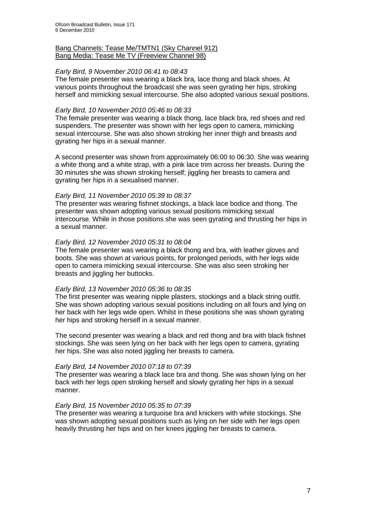#### Bang Channels: Tease Me/TMTN1 (Sky Channel 912) Bang Media: Tease Me TV (Freeview Channel 98)

## *Early Bird, 9 November 2010 06:41 to 08:43*

The female presenter was wearing a black bra, lace thong and black shoes. At various points throughout the broadcast she was seen gyrating her hips, stroking herself and mimicking sexual intercourse. She also adopted various sexual positions.

#### *Early Bird, 10 November 2010 05:46 to 08:33*

The female presenter was wearing a black thong, lace black bra, red shoes and red suspenders. The presenter was shown with her legs open to camera, mimicking sexual intercourse. She was also shown stroking her inner thigh and breasts and gyrating her hips in a sexual manner.

A second presenter was shown from approximately 06:00 to 06:30. She was wearing a white thong and a white strap, with a pink lace trim across her breasts. During the 30 minutes she was shown stroking herself; jiggling her breasts to camera and gyrating her hips in a sexualised manner.

## *Early Bird, 11 November 2010 05:39 to 08:37*

The presenter was wearing fishnet stockings, a black lace bodice and thong. The presenter was shown adopting various sexual positions mimicking sexual intercourse. While in those positions she was seen gyrating and thrusting her hips in a sexual manner.

#### *Early Bird, 12 November 2010 05:31 to 08:04*

The female presenter was wearing a black thong and bra, with leather gloves and boots. She was shown at various points, for prolonged periods, with her legs wide open to camera mimicking sexual intercourse. She was also seen stroking her breasts and jiggling her buttocks.

#### *Early Bird, 13 November 2010 05:36 to 08:35*

The first presenter was wearing nipple plasters, stockings and a black string outfit. She was shown adopting various sexual positions including on all fours and lying on her back with her legs wide open. Whilst in these positions she was shown gyrating her hips and stroking herself in a sexual manner.

The second presenter was wearing a black and red thong and bra with black fishnet stockings. She was seen lying on her back with her legs open to camera, gyrating her hips. She was also noted jiggling her breasts to camera.

#### *Early Bird, 14 November 2010 07:18 to 07:39*

The presenter was wearing a black lace bra and thong. She was shown lying on her back with her legs open stroking herself and slowly gyrating her hips in a sexual manner.

#### *Early Bird, 15 November 2010 05:35 to 07:39*

The presenter was wearing a turquoise bra and knickers with white stockings. She was shown adopting sexual positions such as lying on her side with her legs open heavily thrusting her hips and on her knees jiggling her breasts to camera.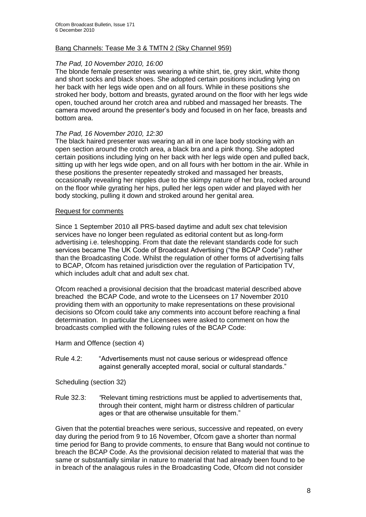## Bang Channels: Tease Me 3 & TMTN 2 (Sky Channel 959)

## *The Pad, 10 November 2010, 16:00*

The blonde female presenter was wearing a white shirt, tie, grey skirt, white thong and short socks and black shoes. She adopted certain positions including lying on her back with her legs wide open and on all fours. While in these positions she stroked her body, bottom and breasts, gyrated around on the floor with her legs wide open, touched around her crotch area and rubbed and massaged her breasts. The camera moved around the presenter"s body and focused in on her face, breasts and bottom area.

#### *The Pad, 16 November 2010, 12:30*

The black haired presenter was wearing an all in one lace body stocking with an open section around the crotch area, a black bra and a pink thong. She adopted certain positions including lying on her back with her legs wide open and pulled back, sitting up with her legs wide open, and on all fours with her bottom in the air. While in these positions the presenter repeatedly stroked and massaged her breasts, occasionally revealing her nipples due to the skimpy nature of her bra, rocked around on the floor while gyrating her hips, pulled her legs open wider and played with her body stocking, pulling it down and stroked around her genital area.

#### Request for comments

Since 1 September 2010 all PRS-based daytime and adult sex chat television services have no longer been regulated as editorial content but as long-form advertising i.e. teleshopping. From that date the relevant standards code for such services became The UK Code of Broadcast Advertising ("the BCAP Code") rather than the Broadcasting Code. Whilst the regulation of other forms of advertising falls to BCAP, Ofcom has retained jurisdiction over the regulation of Participation TV, which includes adult chat and adult sex chat.

Ofcom reached a provisional decision that the broadcast material described above breached the BCAP Code, and wrote to the Licensees on 17 November 2010 providing them with an opportunity to make representations on these provisional decisions so Ofcom could take any comments into account before reaching a final determination. In particular the Licensees were asked to comment on how the broadcasts complied with the following rules of the BCAP Code:

Harm and Offence (section 4)

Rule 4.2: "Advertisements must not cause serious or widespread offence against generally accepted moral, social or cultural standards."

Scheduling (section 32)

Rule 32.3: *"*Relevant timing restrictions must be applied to advertisements that, through their content, might harm or distress children of particular ages or that are otherwise unsuitable for them."

Given that the potential breaches were serious, successive and repeated, on every day during the period from 9 to 16 November, Ofcom gave a shorter than normal time period for Bang to provide comments, to ensure that Bang would not continue to breach the BCAP Code. As the provisional decision related to material that was the same or substantially similar in nature to material that had already been found to be in breach of the analagous rules in the Broadcasting Code, Ofcom did not consider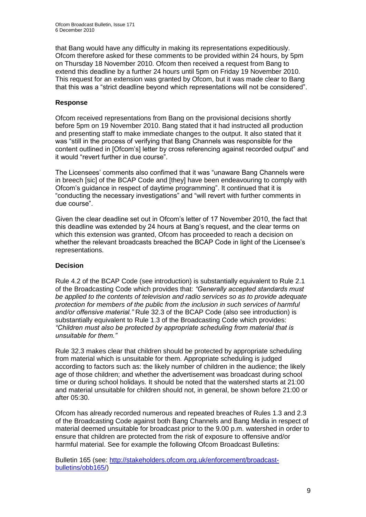that Bang would have any difficulty in making its representations expeditiously. Ofcom therefore asked for these comments to be provided within 24 hours, by 5pm on Thursday 18 November 2010. Ofcom then received a request from Bang to extend this deadline by a further 24 hours until 5pm on Friday 19 November 2010. This request for an extension was granted by Ofcom, but it was made clear to Bang that this was a "strict deadline beyond which representations will not be considered".

## **Response**

Ofcom received representations from Bang on the provisional decisions shortly before 5pm on 19 November 2010. Bang stated that it had instructed all production and presenting staff to make immediate changes to the output. It also stated that it was "still in the process of verifying that Bang Channels was responsible for the content outlined in [Ofcom"s] letter by cross referencing against recorded output" and it would "revert further in due course".

The Licensees" comments also confimed that it was "unaware Bang Channels were in breech [sic] of the BCAP Code and [they] have been endeavouring to comply with Ofcom"s guidance in respect of daytime programming". It continued that it is "conducting the necessary investigations" and "will revert with further comments in due course".

Given the clear deadline set out in Ofcom"s letter of 17 November 2010, the fact that this deadline was extended by 24 hours at Bang"s request, and the clear terms on which this extension was granted, Ofcom has proceeded to reach a decision on whether the relevant broadcasts breached the BCAP Code in light of the Licensee"s representations.

## **Decision**

Rule 4.2 of the BCAP Code (see introduction) is substantially equivalent to Rule 2.1 of the Broadcasting Code which provides that: *"Generally accepted standards must be applied to the contents of television and radio services so as to provide adequate protection for members of the public from the inclusion in such services of harmful and/or offensive material."* Rule 32.3 of the BCAP Code (also see introduction) is substantially equivalent to Rule 1.3 of the Broadcasting Code which provides: *"Children must also be protected by appropriate scheduling from material that is unsuitable for them."*

Rule 32.3 makes clear that children should be protected by appropriate scheduling from material which is unsuitable for them. Appropriate scheduling is judged according to factors such as: the likely number of children in the audience; the likely age of those children; and whether the advertisement was broadcast during school time or during school holidays. It should be noted that the watershed starts at 21:00 and material unsuitable for children should not, in general, be shown before 21:00 or after 05:30.

Ofcom has already recorded numerous and repeated breaches of Rules 1.3 and 2.3 of the Broadcasting Code against both Bang Channels and Bang Media in respect of material deemed unsuitable for broadcast prior to the 9.00 p.m. watershed in order to ensure that children are protected from the risk of exposure to offensive and/or harmful material. See for example the following Ofcom Broadcast Bulletins:

Bulletin 165 (see: [http://stakeholders.ofcom.org.uk/enforcement/broadcast](http://stakeholders.ofcom.org.uk/enforcement/broadcast-bulletins/obb165/)[bulletins/obb165/\)](http://stakeholders.ofcom.org.uk/enforcement/broadcast-bulletins/obb165/)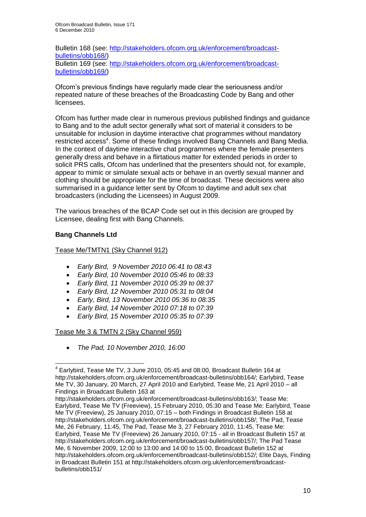Bulletin 168 (see: [http://stakeholders.ofcom.org.uk/enforcement/broadcast](http://stakeholders.ofcom.org.uk/enforcement/broadcast-bulletins/obb168/)[bulletins/obb168/\)](http://stakeholders.ofcom.org.uk/enforcement/broadcast-bulletins/obb168/) Bulletin 169 (see: [http://stakeholders.ofcom.org.uk/enforcement/broadcast](http://stakeholders.ofcom.org.uk/enforcement/broadcast-bulletins/obb169/)[bulletins/obb169/\)](http://stakeholders.ofcom.org.uk/enforcement/broadcast-bulletins/obb169/)

Ofcom"s previous findings have regularly made clear the seriousness and/or repeated nature of these breaches of the Broadcasting Code by Bang and other licensees.

Ofcom has further made clear in numerous previous published findings and guidance to Bang and to the adult sector generally what sort of material it considers to be unsuitable for inclusion in daytime interactive chat programmes without mandatory restricted access<sup>4</sup>. Some of these findings involved Bang Channels and Bang Media. In the context of daytime interactive chat programmes where the female presenters generally dress and behave in a flirtatious matter for extended periods in order to solicit PRS calls, Ofcom has underlined that the presenters should not, for example, appear to mimic or simulate sexual acts or behave in an overtly sexual manner and clothing should be appropriate for the time of broadcast. These decisions were also summarised in a guidance letter sent by Ofcom to daytime and adult sex chat broadcasters (including the Licensees) in August 2009.

The various breaches of the BCAP Code set out in this decision are grouped by Licensee, dealing first with Bang Channels.

## **Bang Channels Ltd**

1

## Tease Me/TMTN1 (Sky Channel 912)

- *Early Bird, 9 November 2010 06:41 to 08:43*
- *Early Bird, 10 November 2010 05:46 to 08:33*
- *Early Bird, 11 November 2010 05:39 to 08:37*
- *Early Bird, 12 November 2010 05:31 to 08:04*
- *Early, Bird, 13 November 2010 05:36 to 08:35*
- *Early Bird, 14 November 2010 07:18 to 07:39*
- *Early Bird, 15 November 2010 05:35 to 07:39*

## Tease Me 3 & TMTN 2 (Sky Channel 959)

*The Pad, 10 November 2010, 16:00*

 $4$  Earlybird, Tease Me TV, 3 June 2010, 05:45 and 08:00, Broadcast Bulletin 164 at http://stakeholders.ofcom.org.uk/enforcement/broadcast-bulletins/obb164/; Earlybird, Tease Me TV, 30 January, 20 March, 27 April 2010 and Earlybird, Tease Me, 21 April 2010 – all Findings in Broadcast Bulletin 163 at

http://stakeholders.ofcom.org.uk/enforcement/broadcast-bulletins/obb163/; Tease Me: Earlybird, Tease Me TV (Freeview), 15 February 2010, 05:30 and Tease Me: Earlybird, Tease Me TV (Freeview), 25 January 2010, 07:15 – both Findings in Broadcast Bulletin 158 at http://stakeholders.ofcom.org.uk/enforcement/broadcast-bulletins/obb158/; The Pad, Tease Me, 26 February, 11:45, The Pad, Tease Me 3, 27 February 2010, 11:45, Tease Me: Earlybird, Tease Me TV (Freeview) 26 January 2010, 07:15 - all in Broadcast Bulletin 157 at http://stakeholders.ofcom.org.uk/enforcement/broadcast-bulletins/obb157/; The Pad Tease Me, 6 November 2009, 12:00 to 13:00 and 14:00 to 15:00, Broadcast Bulletin 152 at http://stakeholders.ofcom.org.uk/enforcement/broadcast-bulletins/obb152/; Elite Days, Finding in Broadcast Bulletin 151 at http://stakeholders.ofcom.org.uk/enforcement/broadcastbulletins/obb151/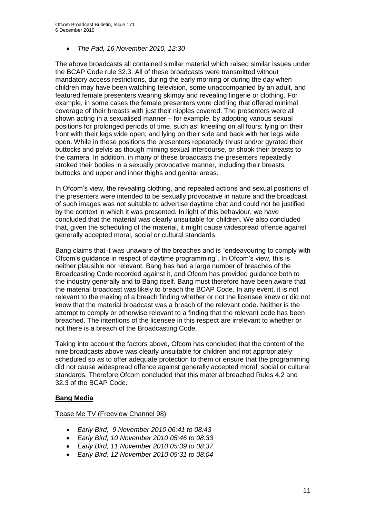## *The Pad, 16 November 2010, 12:30*

The above broadcasts all contained similar material which raised similar issues under the BCAP Code rule 32.3. All of these broadcasts were transmitted without mandatory access restrictions, during the early morning or during the day when children may have been watching television, some unaccompanied by an adult, and featured female presenters wearing skimpy and revealing lingerie or clothing. For example, in some cases the female presenters wore clothing that offered minimal coverage of their breasts with just their nipples covered. The presenters were all shown acting in a sexualised manner – for example, by adopting various sexual positions for prolonged periods of time, such as: kneeling on all fours; lying on their front with their legs wide open; and lying on their side and back with her legs wide open. While in these positions the presenters repeatedly thrust and/or gyrated their buttocks and pelvis as though miming sexual intercourse, or shook their breasts to the camera. In addition, in many of these broadcasts the presenters repeatedly stroked their bodies in a sexually provocative manner, including their breasts, buttocks and upper and inner thighs and genital areas.

In Ofcom"s view, the revealing clothing, and repeated actions and sexual positions of the presenters were intended to be sexually provocative in nature and the broadcast of such images was not suitable to advertise daytime chat and could not be justified by the context in which it was presented. In light of this behaviour, we have concluded that the material was clearly unsuitable for children. We also concluded that, given the scheduling of the material, it might cause widespread offence against generally accepted moral, social or cultural standards.

Bang claims that it was unaware of the breaches and is "endeavouring to comply with Ofcom"s guidance in respect of daytime programming". In Ofcom"s view, this is neither plausible nor relevant. Bang has had a large number of breaches of the Broadcasting Code recorded against it, and Ofcom has provided guidance both to the industry generally and to Bang itself. Bang must therefore have been aware that the material broadcast was likely to breach the BCAP Code. In any event, it is not relevant to the making of a breach finding whether or not the licensee knew or did not know that the material broadcast was a breach of the relevant code. Neither is the attempt to comply or otherwise relevant to a finding that the relevant code has been breached. The intentions of the licensee in this respect are irrelevant to whether or not there is a breach of the Broadcasting Code.

Taking into account the factors above, Ofcom has concluded that the content of the nine broadcasts above was clearly unsuitable for children and not appropriately scheduled so as to offer adequate protection to them or ensure that the programming did not cause widespread offence against generally accepted moral, social or cultural standards. Therefore Ofcom concluded that this material breached Rules 4.2 and 32.3 of the BCAP Code.

## **Bang Media**

#### Tease Me TV (Freeview Channel 98)

- *Early Bird, 9 November 2010 06:41 to 08:43*
- *Early Bird, 10 November 2010 05:46 to 08:33*
- *Early Bird, 11 November 2010 05:39 to 08:37*
- *Early Bird, 12 November 2010 05:31 to 08:04*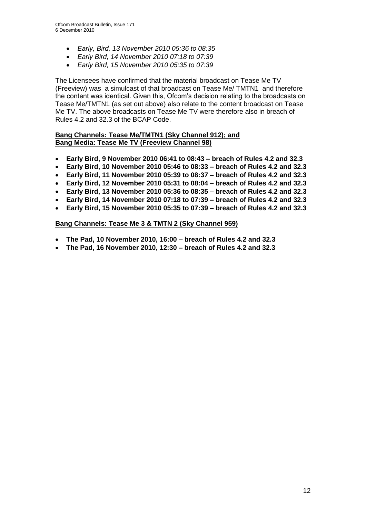- *Early, Bird, 13 November 2010 05:36 to 08:35*
- *Early Bird, 14 November 2010 07:18 to 07:39*
- *Early Bird, 15 November 2010 05:35 to 07:39*

The Licensees have confirmed that the material broadcast on Tease Me TV (Freeview) was a simulcast of that broadcast on Tease Me/ TMTN1 and therefore the content was identical. Given this, Ofcom"s decision relating to the broadcasts on Tease Me/TMTN1 (as set out above) also relate to the content broadcast on Tease Me TV. The above broadcasts on Tease Me TV were therefore also in breach of Rules 4.2 and 32.3 of the BCAP Code.

## **Bang Channels: Tease Me/TMTN1 (Sky Channel 912); and Bang Media: Tease Me TV (Freeview Channel 98)**

- **Early Bird, 9 November 2010 06:41 to 08:43 – breach of Rules 4.2 and 32.3**
- **Early Bird, 10 November 2010 05:46 to 08:33 – breach of Rules 4.2 and 32.3**
- **Early Bird, 11 November 2010 05:39 to 08:37 – breach of Rules 4.2 and 32.3**
- **Early Bird, 12 November 2010 05:31 to 08:04 – breach of Rules 4.2 and 32.3**
- **Early Bird, 13 November 2010 05:36 to 08:35 – breach of Rules 4.2 and 32.3**
- **Early Bird, 14 November 2010 07:18 to 07:39 – breach of Rules 4.2 and 32.3**
- **Early Bird, 15 November 2010 05:35 to 07:39 – breach of Rules 4.2 and 32.3**

## **Bang Channels: Tease Me 3 & TMTN 2 (Sky Channel 959)**

- **The Pad, 10 November 2010, 16:00 – breach of Rules 4.2 and 32.3**
- **The Pad, 16 November 2010, 12:30 – breach of Rules 4.2 and 32.3**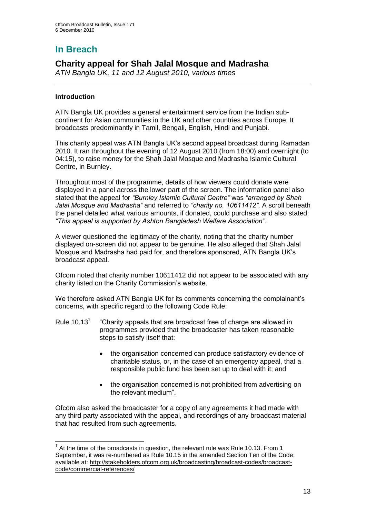# **In Breach**

## **Charity appeal for Shah Jalal Mosque and Madrasha**

*ATN Bangla UK, 11 and 12 August 2010, various times*

## **Introduction**

ATN Bangla UK provides a general entertainment service from the Indian subcontinent for Asian communities in the UK and other countries across Europe. It broadcasts predominantly in Tamil, Bengali, English, Hindi and Punjabi.

This charity appeal was ATN Bangla UK"s second appeal broadcast during Ramadan 2010. It ran throughout the evening of 12 August 2010 (from 18:00) and overnight (to 04:15), to raise money for the Shah Jalal Mosque and Madrasha Islamic Cultural Centre, in Burnley.

Throughout most of the programme, details of how viewers could donate were displayed in a panel across the lower part of the screen. The information panel also stated that the appeal for *"Burnley Islamic Cultural Centre"* was *"arranged by Shah Jalal Mosque and Madrasha"* and referred to *"charity no. 10611412"*. A scroll beneath the panel detailed what various amounts, if donated, could purchase and also stated: *"This appeal is supported by Ashton Bangladesh Welfare Association".*

A viewer questioned the legitimacy of the charity, noting that the charity number displayed on-screen did not appear to be genuine. He also alleged that Shah Jalal Mosque and Madrasha had paid for, and therefore sponsored, ATN Bangla UK"s broadcast appeal.

Ofcom noted that charity number 10611412 did not appear to be associated with any charity listed on the Charity Commission's website.

We therefore asked ATN Bangla UK for its comments concerning the complainant's concerns, with specific regard to the following Code Rule:

- Rule  $10.13<sup>1</sup>$ "Charity appeals that are broadcast free of charge are allowed in programmes provided that the broadcaster has taken reasonable steps to satisfy itself that:
	- the organisation concerned can produce satisfactory evidence of charitable status, or, in the case of an emergency appeal, that a responsible public fund has been set up to deal with it; and
	- the organisation concerned is not prohibited from advertising on the relevant medium".

Ofcom also asked the broadcaster for a copy of any agreements it had made with any third party associated with the appeal, and recordings of any broadcast material that had resulted from such agreements.

<sup>1</sup>  $1$  At the time of the broadcasts in question, the relevant rule was Rule 10.13. From 1 September, it was re-numbered as Rule 10.15 in the amended Section Ten of the Code; available at: [http://stakeholders.ofcom.org.uk/broadcasting/broadcast-codes/broadcast](http://stakeholders.ofcom.org.uk/broadcasting/broadcast-codes/broadcast-code/commercial-references/)[code/commercial-references/](http://stakeholders.ofcom.org.uk/broadcasting/broadcast-codes/broadcast-code/commercial-references/)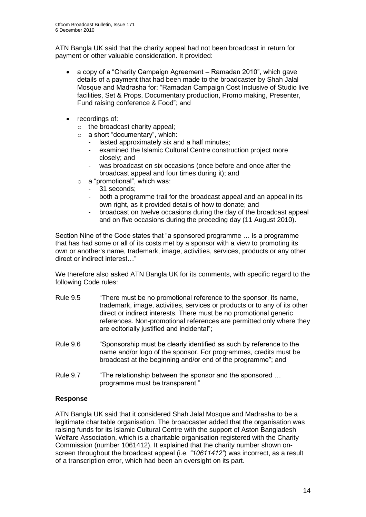ATN Bangla UK said that the charity appeal had not been broadcast in return for payment or other valuable consideration. It provided:

- a copy of a "Charity Campaign Agreement Ramadan 2010", which gave details of a payment that had been made to the broadcaster by Shah Jalal Mosque and Madrasha for: "Ramadan Campaign Cost Inclusive of Studio live facilities, Set & Props, Documentary production, Promo making, Presenter, Fund raising conference & Food"; and
- recordings of:
	- o the broadcast charity appeal;
	- o a short "documentary", which:
		- lasted approximately six and a half minutes;
		- examined the Islamic Cultural Centre construction project more closely; and
		- was broadcast on six occasions (once before and once after the broadcast appeal and four times during it); and
	- o a "promotional", which was:
		- 31 seconds:
			- both a programme trail for the broadcast appeal and an appeal in its own right, as it provided details of how to donate; and
			- broadcast on twelve occasions during the day of the broadcast appeal and on five occasions during the preceding day (11 August 2010).

Section Nine of the Code states that "a sponsored programme … is a programme that has had some or all of its costs met by a sponsor with a view to promoting its own or another's name, trademark, image, activities, services, products or any other direct or indirect interest…"

We therefore also asked ATN Bangla UK for its comments, with specific regard to the following Code rules:

- Rule 9.5 "There must be no promotional reference to the sponsor, its name, trademark, image, activities, services or products or to any of its other direct or indirect interests. There must be no promotional generic references. Non-promotional references are permitted only where they are editorially justified and incidental";
- Rule 9.6 "Sponsorship must be clearly identified as such by reference to the name and/or logo of the sponsor. For programmes, credits must be broadcast at the beginning and/or end of the programme"; and
- Rule 9.7 "The relationship between the sponsor and the sponsored ... programme must be transparent."

## **Response**

ATN Bangla UK said that it considered Shah Jalal Mosque and Madrasha to be a legitimate charitable organisation. The broadcaster added that the organisation was raising funds for its Islamic Cultural Centre with the support of Aston Bangladesh Welfare Association, which is a charitable organisation registered with the Charity Commission (number 1061412). It explained that the charity number shown onscreen throughout the broadcast appeal (i.e. *"10611412"*) was incorrect, as a result of a transcription error, which had been an oversight on its part.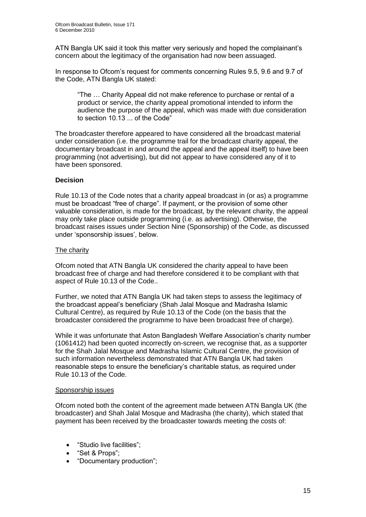ATN Bangla UK said it took this matter very seriously and hoped the complainant"s concern about the legitimacy of the organisation had now been assuaged.

In response to Ofcom"s request for comments concerning Rules 9.5, 9.6 and 9.7 of the Code, ATN Bangla UK stated:

"The … Charity Appeal did not make reference to purchase or rental of a product or service, the charity appeal promotional intended to inform the audience the purpose of the appeal, which was made with due consideration to section 10.13 ... of the Code"

The broadcaster therefore appeared to have considered all the broadcast material under consideration (i.e. the programme trail for the broadcast charity appeal, the documentary broadcast in and around the appeal and the appeal itself) to have been programming (not advertising), but did not appear to have considered any of it to have been sponsored.

## **Decision**

Rule 10.13 of the Code notes that a charity appeal broadcast in (or as) a programme must be broadcast "free of charge". If payment, or the provision of some other valuable consideration, is made for the broadcast, by the relevant charity, the appeal may only take place outside programming (i.e. as advertising). Otherwise, the broadcast raises issues under Section Nine (Sponsorship) of the Code, as discussed under 'sponsorship issues', below.

## The charity

Ofcom noted that ATN Bangla UK considered the charity appeal to have been broadcast free of charge and had therefore considered it to be compliant with that aspect of Rule 10.13 of the Code..

Further, we noted that ATN Bangla UK had taken steps to assess the legitimacy of the broadcast appeal"s beneficiary (Shah Jalal Mosque and Madrasha Islamic Cultural Centre), as required by Rule 10.13 of the Code (on the basis that the broadcaster considered the programme to have been broadcast free of charge).

While it was unfortunate that Aston Bangladesh Welfare Association"s charity number (1061412) had been quoted incorrectly on-screen, we recognise that, as a supporter for the Shah Jalal Mosque and Madrasha Islamic Cultural Centre, the provision of such information nevertheless demonstrated that ATN Bangla UK had taken reasonable steps to ensure the beneficiary"s charitable status, as required under Rule 10.13 of the Code.

## Sponsorship issues

Ofcom noted both the content of the agreement made between ATN Bangla UK (the broadcaster) and Shah Jalal Mosque and Madrasha (the charity), which stated that payment has been received by the broadcaster towards meeting the costs of:

- "Studio live facilities";
- "Set & Props";
- "Documentary production";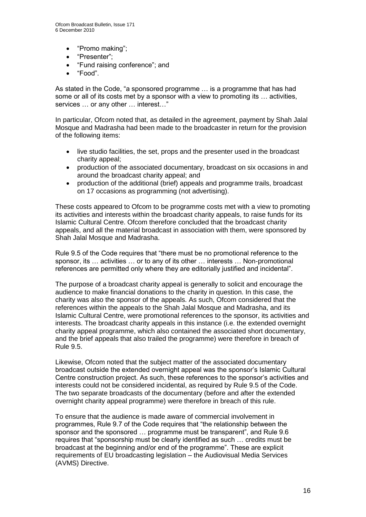- "Promo making";
- "Presenter";
- "Fund raising conference"; and
- "Food".

As stated in the Code, "a sponsored programme … is a programme that has had some or all of its costs met by a sponsor with a view to promoting its … activities, services … or any other … interest…"

In particular, Ofcom noted that, as detailed in the agreement, payment by Shah Jalal Mosque and Madrasha had been made to the broadcaster in return for the provision of the following items:

- live studio facilities, the set, props and the presenter used in the broadcast charity appeal;
- production of the associated documentary, broadcast on six occasions in and around the broadcast charity appeal; and
- production of the additional (brief) appeals and programme trails, broadcast on 17 occasions as programming (not advertising).

These costs appeared to Ofcom to be programme costs met with a view to promoting its activities and interests within the broadcast charity appeals, to raise funds for its Islamic Cultural Centre. Ofcom therefore concluded that the broadcast charity appeals, and all the material broadcast in association with them, were sponsored by Shah Jalal Mosque and Madrasha.

Rule 9.5 of the Code requires that "there must be no promotional reference to the sponsor, its … activities … or to any of its other … interests … Non-promotional references are permitted only where they are editorially justified and incidental".

The purpose of a broadcast charity appeal is generally to solicit and encourage the audience to make financial donations to the charity in question. In this case, the charity was also the sponsor of the appeals. As such, Ofcom considered that the references within the appeals to the Shah Jalal Mosque and Madrasha, and its Islamic Cultural Centre, were promotional references to the sponsor, its activities and interests. The broadcast charity appeals in this instance (i.e. the extended overnight charity appeal programme, which also contained the associated short documentary, and the brief appeals that also trailed the programme) were therefore in breach of Rule 9.5.

Likewise, Ofcom noted that the subject matter of the associated documentary broadcast outside the extended overnight appeal was the sponsor"s Islamic Cultural Centre construction project. As such, these references to the sponsor"s activities and interests could not be considered incidental, as required by Rule 9.5 of the Code. The two separate broadcasts of the documentary (before and after the extended overnight charity appeal programme) were therefore in breach of this rule.

To ensure that the audience is made aware of commercial involvement in programmes, Rule 9.7 of the Code requires that "the relationship between the sponsor and the sponsored … programme must be transparent", and Rule 9.6 requires that "sponsorship must be clearly identified as such … credits must be broadcast at the beginning and/or end of the programme". These are explicit requirements of EU broadcasting legislation – the Audiovisual Media Services (AVMS) Directive.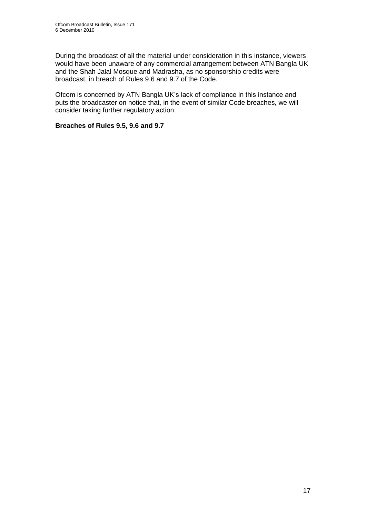During the broadcast of all the material under consideration in this instance, viewers would have been unaware of any commercial arrangement between ATN Bangla UK and the Shah Jalal Mosque and Madrasha, as no sponsorship credits were broadcast, in breach of Rules 9.6 and 9.7 of the Code.

Ofcom is concerned by ATN Bangla UK"s lack of compliance in this instance and puts the broadcaster on notice that, in the event of similar Code breaches, we will consider taking further regulatory action.

## **Breaches of Rules 9.5, 9.6 and 9.7**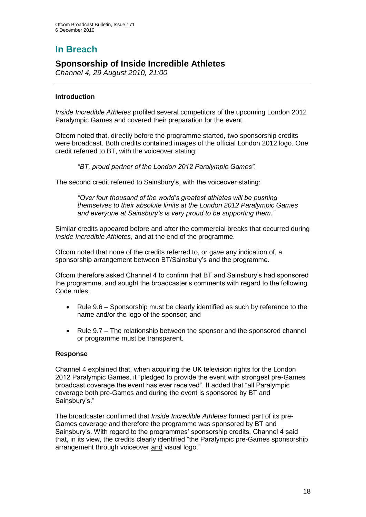# **In Breach**

## **Sponsorship of Inside Incredible Athletes**

*Channel 4, 29 August 2010, 21:00*

## **Introduction**

*Inside Incredible Athletes* profiled several competitors of the upcoming London 2012 Paralympic Games and covered their preparation for the event.

Ofcom noted that, directly before the programme started, two sponsorship credits were broadcast. Both credits contained images of the official London 2012 logo. One credit referred to BT, with the voiceover stating:

*"BT, proud partner of the London 2012 Paralympic Games"*.

The second credit referred to Sainsbury"s, with the voiceover stating:

*"Over four thousand of the world's greatest athletes will be pushing themselves to their absolute limits at the London 2012 Paralympic Games and everyone at Sainsbury's is very proud to be supporting them."*

Similar credits appeared before and after the commercial breaks that occurred during *Inside Incredible Athletes*, and at the end of the programme.

Ofcom noted that none of the credits referred to, or gave any indication of, a sponsorship arrangement between BT/Sainsbury's and the programme.

Ofcom therefore asked Channel 4 to confirm that BT and Sainsbury"s had sponsored the programme, and sought the broadcaster"s comments with regard to the following Code rules:

- Rule 9.6 Sponsorship must be clearly identified as such by reference to the name and/or the logo of the sponsor; and
- Rule 9.7 The relationship between the sponsor and the sponsored channel or programme must be transparent.

## **Response**

Channel 4 explained that, when acquiring the UK television rights for the London 2012 Paralympic Games, it "pledged to provide the event with strongest pre-Games broadcast coverage the event has ever received". It added that "all Paralympic coverage both pre-Games and during the event is sponsored by BT and Sainsbury's."

The broadcaster confirmed that *Inside Incredible Athletes* formed part of its pre-Games coverage and therefore the programme was sponsored by BT and Sainsbury's. With regard to the programmes' sponsorship credits, Channel 4 said that, in its view, the credits clearly identified "the Paralympic pre-Games sponsorship arrangement through voiceover and visual logo."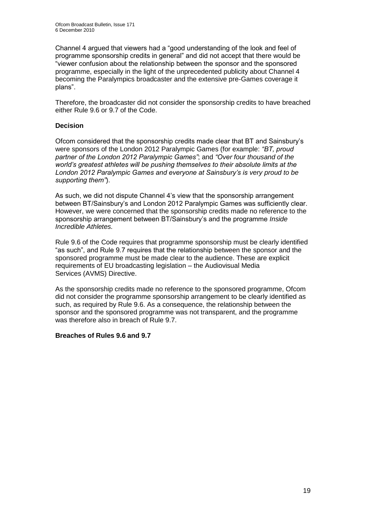Channel 4 argued that viewers had a "good understanding of the look and feel of programme sponsorship credits in general" and did not accept that there would be "viewer confusion about the relationship between the sponsor and the sponsored programme, especially in the light of the unprecedented publicity about Channel 4 becoming the Paralympics broadcaster and the extensive pre-Games coverage it plans".

Therefore, the broadcaster did not consider the sponsorship credits to have breached either Rule 9.6 or 9.7 of the Code.

## **Decision**

Ofcom considered that the sponsorship credits made clear that BT and Sainsbury"s were sponsors of the London 2012 Paralympic Games (for example: *"BT, proud partner of the London 2012 Paralympic Games"*; and *"Over four thousand of the world's greatest athletes will be pushing themselves to their absolute limits at the London 2012 Paralympic Games and everyone at Sainsbury's is very proud to be supporting them"*).

As such, we did not dispute Channel 4"s view that the sponsorship arrangement between BT/Sainsbury"s and London 2012 Paralympic Games was sufficiently clear. However, we were concerned that the sponsorship credits made no reference to the sponsorship arrangement between BT/Sainsbury"s and the programme *Inside Incredible Athletes.*

Rule 9.6 of the Code requires that programme sponsorship must be clearly identified "as such", and Rule 9.7 requires that the relationship between the sponsor and the sponsored programme must be made clear to the audience. These are explicit requirements of EU broadcasting legislation – the Audiovisual Media Services (AVMS) Directive.

As the sponsorship credits made no reference to the sponsored programme, Ofcom did not consider the programme sponsorship arrangement to be clearly identified as such, as required by Rule 9.6. As a consequence, the relationship between the sponsor and the sponsored programme was not transparent, and the programme was therefore also in breach of Rule 9.7.

## **Breaches of Rules 9.6 and 9.7**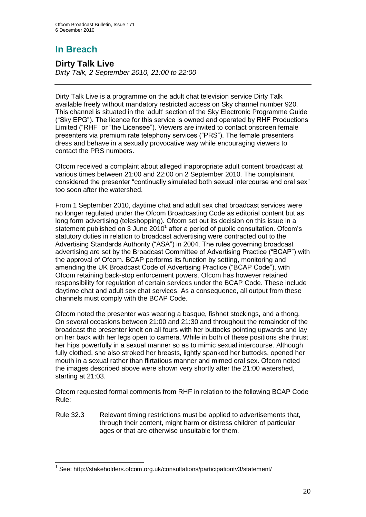# **In Breach**

## **Dirty Talk Live**

*Dirty Talk, 2 September 2010, 21:00 to 22:00*

Dirty Talk Live is a programme on the adult chat television service Dirty Talk available freely without mandatory restricted access on Sky channel number 920. This channel is situated in the 'adult' section of the Sky Electronic Programme Guide ("Sky EPG"). The licence for this service is owned and operated by RHF Productions Limited ("RHF" or "the Licensee"). Viewers are invited to contact onscreen female presenters via premium rate telephony services ("PRS"). The female presenters dress and behave in a sexually provocative way while encouraging viewers to contact the PRS numbers.

Ofcom received a complaint about alleged inappropriate adult content broadcast at various times between 21:00 and 22:00 on 2 September 2010. The complainant considered the presenter "continually simulated both sexual intercourse and oral sex" too soon after the watershed.

From 1 September 2010, daytime chat and adult sex chat broadcast services were no longer regulated under the Ofcom Broadcasting Code as editorial content but as long form advertising (teleshopping). Ofcom set out its decision on this issue in a statement published on 3 June  $2010<sup>1</sup>$  after a period of public consultation. Ofcom's statutory duties in relation to broadcast advertising were contracted out to the Advertising Standards Authority ("ASA") in 2004. The rules governing broadcast advertising are set by the Broadcast Committee of Advertising Practice ("BCAP") with the approval of Ofcom. BCAP performs its function by setting, monitoring and amending the UK Broadcast Code of Advertising Practice ("BCAP Code"), with Ofcom retaining back-stop enforcement powers. Ofcom has however retained responsibility for regulation of certain services under the BCAP Code. These include daytime chat and adult sex chat services. As a consequence, all output from these channels must comply with the BCAP Code.

Ofcom noted the presenter was wearing a basque, fishnet stockings, and a thong. On several occasions between 21:00 and 21:30 and throughout the remainder of the broadcast the presenter knelt on all fours with her buttocks pointing upwards and lay on her back with her legs open to camera. While in both of these positions she thrust her hips powerfully in a sexual manner so as to mimic sexual intercourse. Although fully clothed, she also stroked her breasts, lightly spanked her buttocks, opened her mouth in a sexual rather than flirtatious manner and mimed oral sex. Ofcom noted the images described above were shown very shortly after the 21:00 watershed, starting at 21:03.

Ofcom requested formal comments from RHF in relation to the following BCAP Code Rule:

Rule 32.3 Relevant timing restrictions must be applied to advertisements that, through their content, might harm or distress children of particular ages or that are otherwise unsuitable for them.

<sup>1</sup> <sup>1</sup> See: http://stakeholders.ofcom.org.uk/consultations/participationtv3/statement/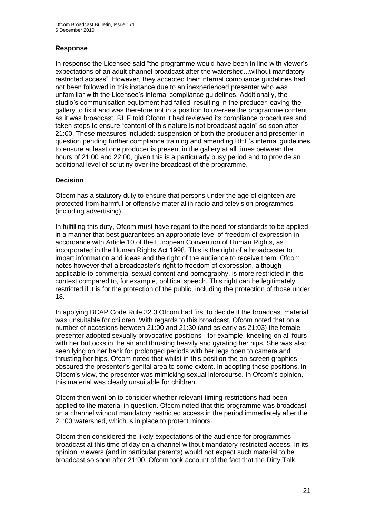## **Response**

In response the Licensee said "the programme would have been in line with viewer"s expectations of an adult channel broadcast after the watershed...without mandatory restricted access". However, they accepted their internal compliance guidelines had not been followed in this instance due to an inexperienced presenter who was unfamiliar with the Licensee"s internal compliance guidelines. Additionally, the studio"s communication equipment had failed, resulting in the producer leaving the gallery to fix it and was therefore not in a position to oversee the programme content as it was broadcast. RHF told Ofcom it had reviewed its compliance procedures and taken steps to ensure "content of this nature is not broadcast again" so soon after 21:00. These measures included: suspension of both the producer and presenter in question pending further compliance training and amending RHF"s internal guidelines to ensure at least one producer is present in the gallery at all times between the hours of 21:00 and 22:00, given this is a particularly busy period and to provide an additional level of scrutiny over the broadcast of the programme.

## **Decision**

Ofcom has a statutory duty to ensure that persons under the age of eighteen are protected from harmful or offensive material in radio and television programmes (including advertising).

In fulfilling this duty, Ofcom must have regard to the need for standards to be applied in a manner that best guarantees an appropriate level of freedom of expression in accordance with Article 10 of the European Convention of Human Rights, as incorporated in the Human Rights Act 1998. This is the right of a broadcaster to impart information and ideas and the right of the audience to receive them. Ofcom notes however that a broadcaster"s right to freedom of expression, although applicable to commercial sexual content and pornography, is more restricted in this context compared to, for example, political speech. This right can be legitimately restricted if it is for the protection of the public, including the protection of those under 18.

In applying BCAP Code Rule 32.3 Ofcom had first to decide if the broadcast material was unsuitable for children. With regards to this broadcast, Ofcom noted that on a number of occasions between 21:00 and 21:30 (and as early as 21:03) the female presenter adopted sexually provocative positions - for example, kneeling on all fours with her buttocks in the air and thrusting heavily and gyrating her hips. She was also seen lying on her back for prolonged periods with her legs open to camera and thrusting her hips. Ofcom noted that whilst in this position the on-screen graphics obscured the presenter"s genital area to some extent. In adopting these positions, in Ofcom"s view, the presenter was mimicking sexual intercourse. In Ofcom"s opinion, this material was clearly unsuitable for children.

Ofcom then went on to consider whether relevant timing restrictions had been applied to the material in question. Ofcom noted that this programme was broadcast on a channel without mandatory restricted access in the period immediately after the 21:00 watershed, which is in place to protect minors.

Ofcom then considered the likely expectations of the audience for programmes broadcast at this time of day on a channel without mandatory restricted access. In its opinion, viewers (and in particular parents) would not expect such material to be broadcast so soon after 21:00. Ofcom took account of the fact that the Dirty Talk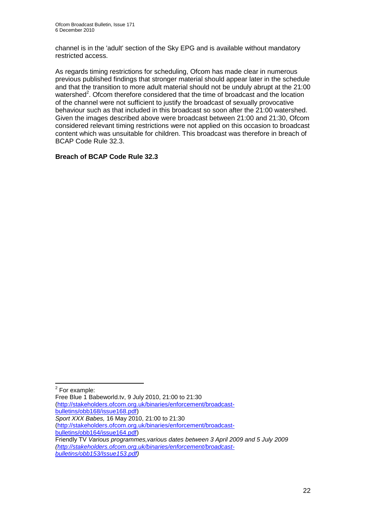channel is in the 'adult' section of the Sky EPG and is available without mandatory restricted access.

As regards timing restrictions for scheduling, Ofcom has made clear in numerous previous published findings that stronger material should appear later in the schedule and that the transition to more adult material should not be unduly abrupt at the 21:00 watershed<sup>2</sup>. Ofcom therefore considered that the time of broadcast and the location of the channel were not sufficient to justify the broadcast of sexually provocative behaviour such as that included in this broadcast so soon after the 21:00 watershed. Given the images described above were broadcast between 21:00 and 21:30, Ofcom considered relevant timing restrictions were not applied on this occasion to broadcast content which was unsuitable for children. This broadcast was therefore in breach of BCAP Code Rule 32.3.

## **Breach of BCAP Code Rule 32.3**

1

[\(http://stakeholders.ofcom.org.uk/binaries/enforcement/broadcast](http://stakeholders.ofcom.org.uk/binaries/enforcement/broadcast-bulletins/obb168/issue168.pdf)[bulletins/obb168/issue168.pdf\)](http://stakeholders.ofcom.org.uk/binaries/enforcement/broadcast-bulletins/obb168/issue168.pdf)

<sup>&</sup>lt;sup>2</sup> For example: Free Blue 1 Babeworld.tv, 9 July 2010, 21:00 to 21:30

*Sport XXX Babes,* 16 May 2010, 21:00 to 21:30

[<sup>\(</sup>http://stakeholders.ofcom.org.uk/binaries/enforcement/broadcast-](http://stakeholders.ofcom.org.uk/binaries/enforcement/broadcast-bulletins/obb164/issue164.pdf)

[bulletins/obb164/issue164.pdf\)](http://stakeholders.ofcom.org.uk/binaries/enforcement/broadcast-bulletins/obb164/issue164.pdf) Friendly TV *Various programmes,various dates between 3 April 2009 and 5 July 2009 [\(http://stakeholders.ofcom.org.uk/binaries/enforcement/broadcast-](http://stakeholders.ofcom.org.uk/binaries/enforcement/broadcast-bulletins/obb153/Issue153.pdf)*

*[bulletins/obb153/Issue153.pdf\)](http://stakeholders.ofcom.org.uk/binaries/enforcement/broadcast-bulletins/obb153/Issue153.pdf)*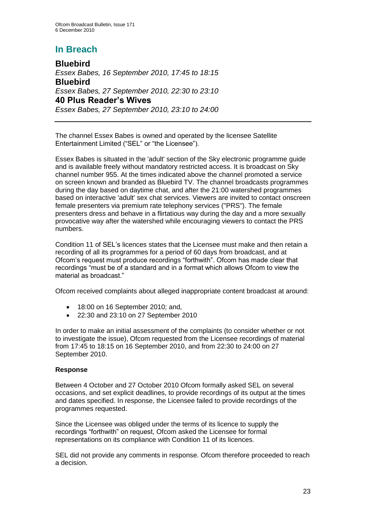# **In Breach**

**Bluebird** *Essex Babes, 16 September 2010, 17:45 to 18:15* **Bluebird** *Essex Babes, 27 September 2010, 22:30 to 23:10* **40 Plus Reader's Wives** *Essex Babes, 27 September 2010, 23:10 to 24:00*

The channel Essex Babes is owned and operated by the licensee Satellite Entertainment Limited ("SEL" or "the Licensee").

Essex Babes is situated in the 'adult' section of the Sky electronic programme guide and is available freely without mandatory restricted access. It is broadcast on Sky channel number 955. At the times indicated above the channel promoted a service on screen known and branded as Bluebird TV. The channel broadcasts programmes during the day based on daytime chat, and after the 21:00 watershed programmes based on interactive 'adult' sex chat services. Viewers are invited to contact onscreen female presenters via premium rate telephony services ("PRS"). The female presenters dress and behave in a flirtatious way during the day and a more sexually provocative way after the watershed while encouraging viewers to contact the PRS numbers.

Condition 11 of SEL"s licences states that the Licensee must make and then retain a recording of all its programmes for a period of 60 days from broadcast, and at Ofcom"s request must produce recordings "forthwith". Ofcom has made clear that recordings "must be of a standard and in a format which allows Ofcom to view the material as broadcast."

Ofcom received complaints about alleged inappropriate content broadcast at around:

- 18:00 on 16 September 2010; and,
- 22:30 and 23:10 on 27 September 2010

In order to make an initial assessment of the complaints (to consider whether or not to investigate the issue), Ofcom requested from the Licensee recordings of material from 17:45 to 18:15 on 16 September 2010, and from 22:30 to 24:00 on 27 September 2010.

## **Response**

Between 4 October and 27 October 2010 Ofcom formally asked SEL on several occasions, and set explicit deadlines, to provide recordings of its output at the times and dates specified. In response, the Licensee failed to provide recordings of the programmes requested.

Since the Licensee was obliged under the terms of its licence to supply the recordings "forthwith" on request, Ofcom asked the Licensee for formal representations on its compliance with Condition 11 of its licences.

SEL did not provide any comments in response. Ofcom therefore proceeded to reach a decision.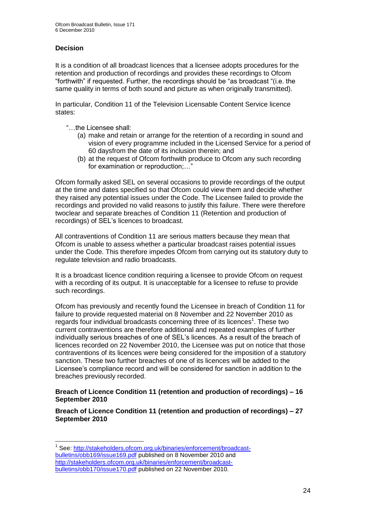## **Decision**

1

It is a condition of all broadcast licences that a licensee adopts procedures for the retention and production of recordings and provides these recordings to Ofcom "forthwith" if requested. Further, the recordings should be "as broadcast "(i.e. the same quality in terms of both sound and picture as when originally transmitted).

In particular, Condition 11 of the Television Licensable Content Service licence states:

- "…the Licensee shall:
	- (a) make and retain or arrange for the retention of a recording in sound and vision of every programme included in the Licensed Service for a period of 60 daysfrom the date of its inclusion therein; and
	- (b) at the request of Ofcom forthwith produce to Ofcom any such recording for examination or reproduction;…"

Ofcom formally asked SEL on several occasions to provide recordings of the output at the time and dates specified so that Ofcom could view them and decide whether they raised any potential issues under the Code. The Licensee failed to provide the recordings and provided no valid reasons to justify this failure. There were therefore twoclear and separate breaches of Condition 11 (Retention and production of recordings) of SEL"s licences to broadcast.

All contraventions of Condition 11 are serious matters because they mean that Ofcom is unable to assess whether a particular broadcast raises potential issues under the Code. This therefore impedes Ofcom from carrying out its statutory duty to regulate television and radio broadcasts.

It is a broadcast licence condition requiring a licensee to provide Ofcom on request with a recording of its output. It is unacceptable for a licensee to refuse to provide such recordings.

Ofcom has previously and recently found the Licensee in breach of Condition 11 for failure to provide requested material on 8 November and 22 November 2010 as regards four individual broadcasts concerning three of its licences<sup>1</sup>. These two current contraventions are therefore additional and repeated examples of further individually serious breaches of one of SEL"s licences. As a result of the breach of licences recorded on 22 November 2010, the Licensee was put on notice that those contraventions of its licences were being considered for the imposition of a statutory sanction. These two further breaches of one of its licences will be added to the Licensee"s compliance record and will be considered for sanction in addition to the breaches previously recorded.

## **Breach of Licence Condition 11 (retention and production of recordings) – 16 September 2010**

**Breach of Licence Condition 11 (retention and production of recordings) – 27 September 2010**

<sup>&</sup>lt;sup>1</sup> See: [http://stakeholders.ofcom.org.uk/binaries/enforcement/broadcast](http://stakeholders.ofcom.org.uk/binaries/enforcement/broadcast-bulletins/obb169/issue169.pdf)[bulletins/obb169/issue169.pdf](http://stakeholders.ofcom.org.uk/binaries/enforcement/broadcast-bulletins/obb169/issue169.pdf) published on 8 November 2010 and [http://stakeholders.ofcom.org.uk/binaries/enforcement/broadcast](http://stakeholders.ofcom.org.uk/binaries/enforcement/broadcast-bulletins/obb170/issue170.pdf)[bulletins/obb170/issue170.pdf](http://stakeholders.ofcom.org.uk/binaries/enforcement/broadcast-bulletins/obb170/issue170.pdf) published on 22 November 2010.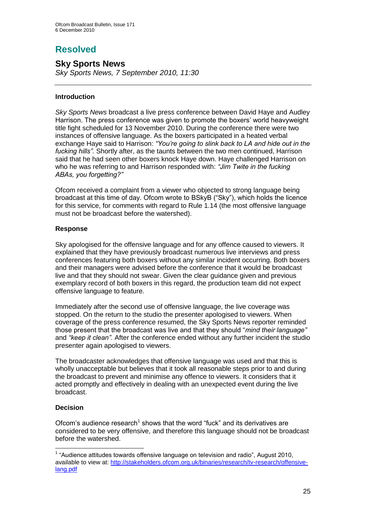# **Resolved**

## **Sky Sports News**

*Sky Sports News, 7 September 2010, 11:30* 

## **Introduction**

*Sky Sports News* broadcast a live press conference between David Haye and Audley Harrison. The press conference was given to promote the boxers' world heavyweight title fight scheduled for 13 November 2010. During the conference there were two instances of offensive language. As the boxers participated in a heated verbal exchange Haye said to Harrison: *"You're going to slink back to LA and hide out in the fucking hills".* Shortly after, as the taunts between the two men continued, Harrison said that he had seen other boxers knock Haye down. Haye challenged Harrison on who he was referring to and Harrison responded with: *"Jim Twite in the fucking ABAs, you forgetting?"*

Ofcom received a complaint from a viewer who objected to strong language being broadcast at this time of day. Ofcom wrote to BSkyB ("Sky"), which holds the licence for this service, for comments with regard to Rule 1.14 (the most offensive language must not be broadcast before the watershed).

## **Response**

Sky apologised for the offensive language and for any offence caused to viewers. It explained that they have previously broadcast numerous live interviews and press conferences featuring both boxers without any similar incident occurring. Both boxers and their managers were advised before the conference that it would be broadcast live and that they should not swear. Given the clear guidance given and previous exemplary record of both boxers in this regard, the production team did not expect offensive language to feature.

Immediately after the second use of offensive language, the live coverage was stopped. On the return to the studio the presenter apologised to viewers. When coverage of the press conference resumed, the Sky Sports News reporter reminded those present that the broadcast was live and that they should "*mind their language"*  and *"keep it clean".* After the conference ended without any further incident the studio presenter again apologised to viewers.

The broadcaster acknowledges that offensive language was used and that this is wholly unacceptable but believes that it took all reasonable steps prior to and during the broadcast to prevent and minimise any offence to viewers. It considers that it acted promptly and effectively in dealing with an unexpected event during the live broadcast.

## **Decision**

1

Ofcom's audience research<sup>1</sup> shows that the word "fuck" and its derivatives are considered to be very offensive, and therefore this language should not be broadcast before the watershed.

 $1$  "Audience attitudes towards offensive language on television and radio", August 2010, available to view at: [http://stakeholders.ofcom.org.uk/binaries/research/tv-research/offensive](http://stakeholders.ofcom.org.uk/binaries/research/tv-research/offensive-lang.pdf)[lang.pdf](http://stakeholders.ofcom.org.uk/binaries/research/tv-research/offensive-lang.pdf)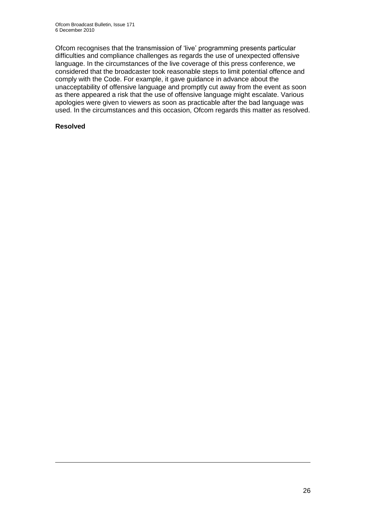Ofcom recognises that the transmission of "live" programming presents particular difficulties and compliance challenges as regards the use of unexpected offensive language. In the circumstances of the live coverage of this press conference, we considered that the broadcaster took reasonable steps to limit potential offence and comply with the Code. For example, it gave guidance in advance about the unacceptability of offensive language and promptly cut away from the event as soon as there appeared a risk that the use of offensive language might escalate. Various apologies were given to viewers as soon as practicable after the bad language was used. In the circumstances and this occasion, Ofcom regards this matter as resolved.

## **Resolved**

1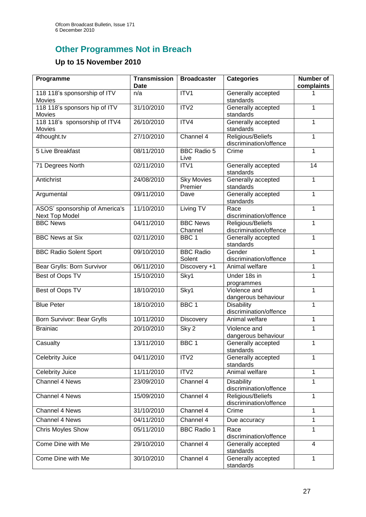# **Other Programmes Not in Breach**

## **Up to 15 November 2010**

| Programme                                        | <b>Transmission</b><br><b>Date</b> | <b>Broadcaster</b>           | <b>Categories</b>                           | <b>Number of</b><br>complaints |
|--------------------------------------------------|------------------------------------|------------------------------|---------------------------------------------|--------------------------------|
| 118 118's sponsorship of ITV<br>Movies           | n/a                                | ITV1                         | Generally accepted<br>standards             |                                |
| 118 118's sponsors hip of ITV<br>Movies          | 31/10/2010                         | ITV <sub>2</sub>             | Generally accepted<br>standards             | 1                              |
| 118 118's sponsorship of ITV4<br>Movies          | 26/10/2010                         | ITV4                         | Generally accepted<br>standards             | 1                              |
| 4thought.tv                                      | 27/10/2010                         | Channel 4                    | Religious/Beliefs<br>discrimination/offence | 1                              |
| <b>5 Live Breakfast</b>                          | 08/11/2010                         | <b>BBC Radio 5</b><br>Live   | Crime                                       | 1                              |
| 71 Degrees North                                 | 02/11/2010                         | ITV1                         | Generally accepted<br>standards             | 14                             |
| Antichrist                                       | 24/08/2010                         | <b>Sky Movies</b><br>Premier | Generally accepted<br>standards             | 1                              |
| Argumental                                       | 09/11/2010                         | Dave                         | Generally accepted<br>standards             | 1                              |
| ASOS' sponsorship of America's<br>Next Top Model | 11/10/2010                         | Living TV                    | Race<br>discrimination/offence              | 1                              |
| <b>BBC News</b>                                  | 04/11/2010                         | <b>BBC News</b><br>Channel   | Religious/Beliefs<br>discrimination/offence | 1                              |
| <b>BBC News at Six</b>                           | 02/11/2010                         | BBC <sub>1</sub>             | Generally accepted<br>standards             | 1                              |
| <b>BBC Radio Solent Sport</b>                    | 09/10/2010                         | <b>BBC Radio</b><br>Solent   | Gender<br>discrimination/offence            | $\mathbf{1}$                   |
| Bear Grylls: Born Survivor                       | 06/11/2010                         | Discovery +1                 | Animal welfare                              | 1                              |
| Best of Oops TV                                  | 15/10/2010                         | Sky1                         | Under 18s in<br>programmes                  | 1                              |
| Best of Oops TV                                  | 18/10/2010                         | Sky1                         | Violence and<br>dangerous behaviour         | 1                              |
| <b>Blue Peter</b>                                | 18/10/2010                         | BBC <sub>1</sub>             | <b>Disability</b><br>discrimination/offence | 1                              |
| Born Survivor: Bear Grylls                       | 10/11/2010                         | Discovery                    | Animal welfare                              | 1                              |
| <b>Brainiac</b>                                  | 20/10/2010                         | Sky 2                        | Violence and<br>dangerous behaviour         | 1                              |
| Casualty                                         | 13/11/2010                         | BBC <sub>1</sub>             | Generally accepted<br>standards             | $\mathbf 1$                    |
| <b>Celebrity Juice</b>                           | 04/11/2010                         | ITV <sub>2</sub>             | Generally accepted<br>standards             | 1                              |
| Celebrity Juice                                  | 11/11/2010                         | ITV <sub>2</sub>             | Animal welfare                              | $\mathbf{1}$                   |
| <b>Channel 4 News</b>                            | 23/09/2010                         | Channel 4                    | <b>Disability</b><br>discrimination/offence | 1                              |
| <b>Channel 4 News</b>                            | 15/09/2010                         | Channel 4                    | Religious/Beliefs<br>discrimination/offence | 1                              |
| Channel 4 News                                   | 31/10/2010                         | Channel 4                    | Crime                                       | $\mathbf{1}$                   |
| Channel 4 News                                   | 04/11/2010                         | Channel 4                    | Due accuracy                                | 1                              |
| <b>Chris Moyles Show</b>                         | 05/11/2010                         | <b>BBC</b> Radio 1           | Race<br>discrimination/offence              | 1                              |
| Come Dine with Me                                | 29/10/2010                         | Channel 4                    | Generally accepted<br>standards             | $\overline{4}$                 |
| Come Dine with Me                                | 30/10/2010                         | Channel 4                    | Generally accepted<br>standards             | $\mathbf{1}$                   |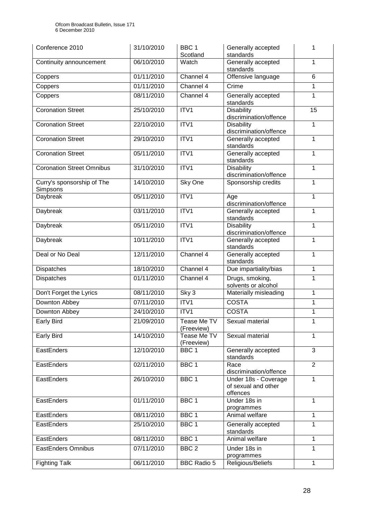| Conference 2010                        | 31/10/2010 | BBC <sub>1</sub><br>Scotland | Generally accepted<br>standards                         | 1              |
|----------------------------------------|------------|------------------------------|---------------------------------------------------------|----------------|
| Continuity announcement                | 06/10/2010 | Watch                        | Generally accepted<br>standards                         | 1              |
| Coppers                                | 01/11/2010 | Channel 4                    | Offensive language                                      | $6\phantom{1}$ |
| Coppers                                | 01/11/2010 | Channel 4                    | Crime                                                   | 1              |
| Coppers                                | 08/11/2010 | Channel 4                    | Generally accepted<br>standards                         | 1              |
| <b>Coronation Street</b>               | 25/10/2010 | ITV1                         | <b>Disability</b><br>discrimination/offence             | 15             |
| <b>Coronation Street</b>               | 22/10/2010 | ITV1                         | <b>Disability</b><br>discrimination/offence             | 1              |
| <b>Coronation Street</b>               | 29/10/2010 | ITV1                         | Generally accepted<br>standards                         | 1              |
| <b>Coronation Street</b>               | 05/11/2010 | ITV1                         | Generally accepted<br>standards                         | 1              |
| <b>Coronation Street Omnibus</b>       | 31/10/2010 | ITV1                         | <b>Disability</b><br>discrimination/offence             | 1              |
| Curry's sponsorship of The<br>Simpsons | 14/10/2010 | Sky One                      | Sponsorship credits                                     | 1              |
| Daybreak                               | 05/11/2010 | ITV1                         | Age<br>discrimination/offence                           | 1              |
| Daybreak                               | 03/11/2010 | ITV1                         | Generally accepted<br>standards                         | 1              |
| Daybreak                               | 05/11/2010 | ITV1                         | <b>Disability</b><br>discrimination/offence             | 1              |
| Daybreak                               | 10/11/2010 | ITV1                         | Generally accepted<br>standards                         | 1              |
| Deal or No Deal                        | 12/11/2010 | Channel 4                    | Generally accepted<br>standards                         | 1              |
| Dispatches                             | 18/10/2010 | Channel 4                    | Due impartiality/bias                                   | 1              |
| <b>Dispatches</b>                      | 01/11/2010 | Channel 4                    | Drugs, smoking,<br>solvents or alcohol                  | 1              |
| Don't Forget the Lyrics                | 08/11/2010 | Sky 3                        | Materially misleading                                   | 1              |
| Downton Abbey                          | 07/11/2010 | ITV1                         | <b>COSTA</b>                                            | 1              |
| Downton Abbey                          | 24/10/2010 | ITV1                         | <b>COSTA</b>                                            | 1              |
| <b>Early Bird</b>                      | 21/09/2010 | Tease Me TV<br>(Freeview)    | Sexual material                                         | 1              |
| <b>Early Bird</b>                      | 14/10/2010 | Tease Me TV<br>(Freeview)    | Sexual material                                         | 1              |
| EastEnders                             | 12/10/2010 | BBC <sub>1</sub>             | Generally accepted<br>standards                         | 3              |
| EastEnders                             | 02/11/2010 | BBC <sub>1</sub>             | Race<br>discrimination/offence                          | $\overline{2}$ |
| EastEnders                             | 26/10/2010 | BBC <sub>1</sub>             | Under 18s - Coverage<br>of sexual and other<br>offences | $\mathbf{1}$   |
| EastEnders                             | 01/11/2010 | BBC <sub>1</sub>             | Under 18s in<br>programmes                              | 1              |
| EastEnders                             | 08/11/2010 | BBC <sub>1</sub>             | Animal welfare                                          | 1              |
| EastEnders                             | 25/10/2010 | BBC <sub>1</sub>             | Generally accepted<br>standards                         | 1              |
| EastEnders                             | 08/11/2010 | BBC <sub>1</sub>             | Animal welfare                                          | 1              |
| EastEnders Omnibus                     | 07/11/2010 | BBC <sub>2</sub>             | Under 18s in<br>programmes                              | 1              |
| <b>Fighting Talk</b>                   | 06/11/2010 | <b>BBC Radio 5</b>           | Religious/Beliefs                                       | 1              |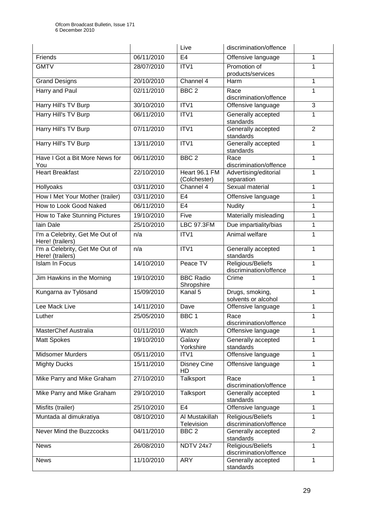|                                                    |            | Live                           | discrimination/offence                      |                |
|----------------------------------------------------|------------|--------------------------------|---------------------------------------------|----------------|
| Friends                                            | 06/11/2010 | E <sub>4</sub>                 | Offensive language                          | 1              |
| <b>GMTV</b>                                        | 28/07/2010 | ITV1                           | Promotion of<br>products/services           | 1              |
| <b>Grand Designs</b>                               | 20/10/2010 | Channel 4                      | Harm                                        | 1              |
| Harry and Paul                                     | 02/11/2010 | BBC <sub>2</sub>               | Race<br>discrimination/offence              | 1              |
| Harry Hill's TV Burp                               | 30/10/2010 | ITV1                           | Offensive language                          | 3              |
| Harry Hill's TV Burp                               | 06/11/2010 | ITV1                           | Generally accepted<br>standards             | 1              |
| Harry Hill's TV Burp                               | 07/11/2010 | ITV1                           | Generally accepted<br>standards             | $\overline{2}$ |
| Harry Hill's TV Burp                               | 13/11/2010 | ITV1                           | Generally accepted<br>standards             | $\mathbf{1}$   |
| Have I Got a Bit More News for<br>You              | 06/11/2010 | BBC <sub>2</sub>               | Race<br>discrimination/offence              | $\mathbf{1}$   |
| <b>Heart Breakfast</b>                             | 22/10/2010 | Heart 96.1 FM<br>(Colchester)  | Advertising/editorial<br>separation         | 1              |
| Hollyoaks                                          | 03/11/2010 | Channel 4                      | Sexual material                             | $\mathbf{1}$   |
| How I Met Your Mother (trailer)                    | 03/11/2010 | E <sub>4</sub>                 | Offensive language                          | 1              |
| How to Look Good Naked                             | 06/11/2010 | E4                             | <b>Nudity</b>                               | 1              |
| How to Take Stunning Pictures                      | 19/10/2010 | Five                           | Materially misleading                       | 1              |
| lain Dale                                          | 25/10/2010 | <b>LBC 97.3FM</b>              | Due impartiality/bias                       | 1              |
| I'm a Celebrity, Get Me Out of<br>Here! (trailers) | n/a        | ITV1                           | Animal welfare                              | 1              |
| I'm a Celebrity, Get Me Out of<br>Here! (trailers) | n/a        | ITV1                           | Generally accepted<br>standards             | 1              |
| <b>Islam In Focus</b>                              | 14/10/2010 | Peace TV                       | Religious/Beliefs<br>discrimination/offence | $\mathbf{1}$   |
| Jim Hawkins in the Morning                         | 19/10/2010 | <b>BBC Radio</b><br>Shropshire | Crime                                       | $\mathbf{1}$   |
| Kungarna av Tylösand                               | 15/09/2010 | Kanal 5                        | Drugs, smoking,<br>solvents or alcohol      | $\mathbf{1}$   |
| Lee Mack Live                                      | 14/11/2010 | Dave                           | Offensive language                          | 1              |
| Luther                                             | 25/05/2010 | BBC <sub>1</sub>               | Race<br>discrimination/offence              | 1              |
| MasterChef Australia                               | 01/11/2010 | Watch                          | Offensive language                          | 1              |
| <b>Matt Spokes</b>                                 | 19/10/2010 | Galaxy<br>Yorkshire            | Generally accepted<br>standards             | 1              |
| <b>Midsomer Murders</b>                            | 05/11/2010 | ITV1                           | Offensive language                          | $\mathbf{1}$   |
| <b>Mighty Ducks</b>                                | 15/11/2010 | <b>Disney Cine</b><br>HD       | Offensive language                          | 1              |
| Mike Parry and Mike Graham                         | 27/10/2010 | Talksport                      | Race<br>discrimination/offence              | $\mathbf{1}$   |
| Mike Parry and Mike Graham                         | 29/10/2010 | Talksport                      | Generally accepted<br>standards             | 1              |
| Misfits (trailer)                                  | 25/10/2010 | E <sub>4</sub>                 | Offensive language                          | 1              |
| Muntada al dimukratiya                             | 08/10/2010 | Al Mustakillah<br>Television   | Religious/Beliefs<br>discrimination/offence | 1              |
| Never Mind the Buzzcocks                           | 04/11/2010 | BBC <sub>2</sub>               | Generally accepted<br>standards             | $\overline{2}$ |
| <b>News</b>                                        | 26/08/2010 | NDTV 24x7                      | Religious/Beliefs<br>discrimination/offence | $\mathbf{1}$   |
| <b>News</b>                                        | 11/10/2010 | <b>ARY</b>                     | Generally accepted<br>standards             | 1              |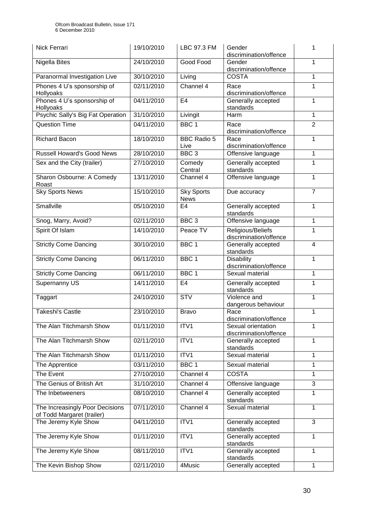| Nick Ferrari                                                  | 19/10/2010 | LBC 97.3 FM                      | Gender<br>discrimination/offence             | 1              |
|---------------------------------------------------------------|------------|----------------------------------|----------------------------------------------|----------------|
| Nigella Bites                                                 | 24/10/2010 | Good Food                        | Gender<br>discrimination/offence             | 1              |
| Paranormal Investigation Live                                 | 30/10/2010 | Living                           | <b>COSTA</b>                                 | 1              |
| Phones 4 U's sponsorship of<br>Hollyoaks                      | 02/11/2010 | Channel 4                        | Race<br>discrimination/offence               | 1              |
| Phones 4 U's sponsorship of<br>Hollyoaks                      | 04/11/2010 | E <sub>4</sub>                   | Generally accepted<br>standards              | 1              |
| Psychic Sally's Big Fat Operation                             | 31/10/2010 | Livingit                         | Harm                                         | 1              |
| <b>Question Time</b>                                          | 04/11/2010 | BBC <sub>1</sub>                 | Race<br>discrimination/offence               | $\overline{2}$ |
| <b>Richard Bacon</b>                                          | 18/10/2010 | <b>BBC Radio 5</b><br>Live       | Race<br>discrimination/offence               | 1              |
| <b>Russell Howard's Good News</b>                             | 28/10/2010 | BBC <sub>3</sub>                 | Offensive language                           | 1              |
| Sex and the City (trailer)                                    | 27/10/2010 | Comedy<br>Central                | Generally accepted<br>standards              | 1              |
| Sharon Osbourne: A Comedy<br>Roast                            | 13/11/2010 | Channel 4                        | Offensive language                           | 1              |
| <b>Sky Sports News</b>                                        | 15/10/2010 | <b>Sky Sports</b><br><b>News</b> | Due accuracy                                 | $\overline{7}$ |
| Smallville                                                    | 05/10/2010 | E <sub>4</sub>                   | Generally accepted<br>standards              | 1              |
| Snog, Marry, Avoid?                                           | 02/11/2010 | BBC <sub>3</sub>                 | Offensive language                           | 1              |
| Spirit Of Islam                                               | 14/10/2010 | Peace TV                         | Religious/Beliefs<br>discrimination/offence  | 1              |
| <b>Strictly Come Dancing</b>                                  | 30/10/2010 | BBC <sub>1</sub>                 | Generally accepted<br>standards              | $\overline{4}$ |
| <b>Strictly Come Dancing</b>                                  | 06/11/2010 | BBC <sub>1</sub>                 | <b>Disability</b><br>discrimination/offence  | 1              |
| <b>Strictly Come Dancing</b>                                  | 06/11/2010 | BBC <sub>1</sub>                 | Sexual material                              | 1              |
| <b>Supernanny US</b>                                          | 14/11/2010 | E <sub>4</sub>                   | Generally accepted<br>standards              | 1              |
| Taggart                                                       | 24/10/2010 | STV                              | Violence and<br>dangerous behaviour          | 1              |
| <b>Takeshi's Castle</b>                                       | 23/10/2010 | <b>Bravo</b>                     | Race<br>discrimination/offence               | 1              |
| The Alan Titchmarsh Show                                      | 01/11/2010 | ITV1                             | Sexual orientation<br>discrimination/offence | 1              |
| The Alan Titchmarsh Show                                      | 02/11/2010 | ITV1                             | Generally accepted<br>standards              | 1              |
| The Alan Titchmarsh Show                                      | 01/11/2010 | ITV1                             | Sexual material                              | 1              |
| The Apprentice                                                | 03/11/2010 | BBC <sub>1</sub>                 | Sexual material                              | 1              |
| The Event                                                     | 27/10/2010 | Channel 4                        | <b>COSTA</b>                                 | 1              |
| The Genius of British Art                                     | 31/10/2010 | Channel 4                        | Offensive language                           | 3              |
| The Inbetweeners                                              | 08/10/2010 | Channel 4                        | Generally accepted<br>standards              | $\mathbf{1}$   |
| The Increasingly Poor Decisions<br>of Todd Margaret (trailer) | 07/11/2010 | Channel $4$                      | Sexual material                              | 1              |
| The Jeremy Kyle Show                                          | 04/11/2010 | ITV1                             | Generally accepted<br>standards              | 3              |
| The Jeremy Kyle Show                                          | 01/11/2010 | ITV1                             | Generally accepted<br>standards              | 1              |
| The Jeremy Kyle Show                                          | 08/11/2010 | ITV1                             | Generally accepted<br>standards              | 1              |
| The Kevin Bishop Show                                         | 02/11/2010 | 4Music                           | Generally accepted                           | $\mathbf{1}$   |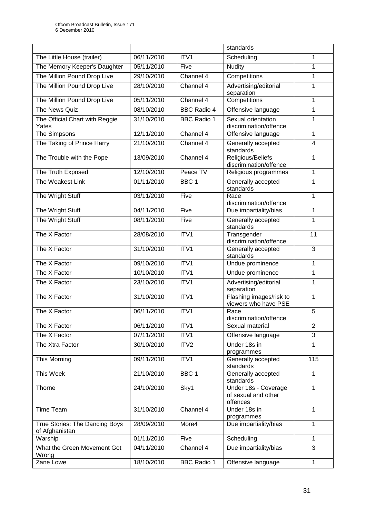|                                                  |            |                    | standards                                               |                |
|--------------------------------------------------|------------|--------------------|---------------------------------------------------------|----------------|
| The Little House (trailer)                       | 06/11/2010 | ITV1               | Scheduling                                              | 1              |
| The Memory Keeper's Daughter                     | 05/11/2010 | Five               | <b>Nudity</b>                                           | 1              |
| The Million Pound Drop Live                      | 29/10/2010 | Channel 4          | Competitions                                            | 1              |
| The Million Pound Drop Live                      | 28/10/2010 | Channel 4          | Advertising/editorial<br>separation                     | 1              |
| The Million Pound Drop Live                      | 05/11/2010 | Channel 4          | Competitions                                            | 1              |
| The News Quiz                                    | 08/10/2010 | <b>BBC Radio 4</b> | Offensive language                                      | 1              |
| The Official Chart with Reggie<br>Yates          | 31/10/2010 | <b>BBC Radio 1</b> | Sexual orientation<br>discrimination/offence            | 1              |
| The Simpsons                                     | 12/11/2010 | Channel 4          | Offensive language                                      | 1              |
| The Taking of Prince Harry                       | 21/10/2010 | Channel 4          | Generally accepted<br>standards                         | $\overline{4}$ |
| The Trouble with the Pope                        | 13/09/2010 | Channel 4          | Religious/Beliefs<br>discrimination/offence             | 1              |
| The Truth Exposed                                | 12/10/2010 | Peace TV           | Religious programmes                                    | 1              |
| The Weakest Link                                 | 01/11/2010 | BBC <sub>1</sub>   | Generally accepted<br>standards                         | 1              |
| The Wright Stuff                                 | 03/11/2010 | Five               | Race<br>discrimination/offence                          | 1              |
| The Wright Stuff                                 | 04/11/2010 | Five               | Due impartiality/bias                                   | 1              |
| The Wright Stuff                                 | 08/11/2010 | Five               | Generally accepted<br>standards                         | 1              |
| The X Factor                                     | 28/08/2010 | ITV1               | Transgender<br>discrimination/offence                   | 11             |
| The X Factor                                     | 31/10/2010 | ITV1               | Generally accepted<br>standards                         | 3              |
| The X Factor                                     | 09/10/2010 | ITV1               | Undue prominence                                        | 1              |
| The X Factor                                     | 10/10/2010 | ITV1               | Undue prominence                                        | 1              |
| The X Factor                                     | 23/10/2010 | ITV1               | Advertising/editorial<br>separation                     | 1              |
| The X Factor                                     | 31/10/2010 | ITV1               | Flashing images/risk to<br>viewers who have PSE         | 1              |
| The X Factor                                     | 06/11/2010 | ITV1               | Race<br>discrimination/offence                          | 5              |
| The X Factor                                     | 06/11/2010 | ITV1               | Sexual material                                         | $\overline{2}$ |
| The X Factor                                     | 07/11/2010 | ITV1               | Offensive language                                      | 3              |
| The Xtra Factor                                  | 30/10/2010 | ITV <sub>2</sub>   | Under 18s in<br>programmes                              | 1              |
| This Morning                                     | 09/11/2010 | ITV1               | Generally accepted<br>standards                         | 115            |
| <b>This Week</b>                                 | 21/10/2010 | BBC <sub>1</sub>   | Generally accepted<br>standards                         | 1              |
| Thorne                                           | 24/10/2010 | Sky1               | Under 18s - Coverage<br>of sexual and other<br>offences | 1              |
| Time Team                                        | 31/10/2010 | Channel 4          | Under 18s in<br>programmes                              | 1              |
| True Stories: The Dancing Boys<br>of Afghanistan | 28/09/2010 | More4              | Due impartiality/bias                                   | 1              |
| Warship                                          | 01/11/2010 | Five               | Scheduling                                              | 1              |
| What the Green Movement Got<br>Wrong             | 04/11/2010 | Channel 4          | Due impartiality/bias                                   | 3              |
| Zane Lowe                                        | 18/10/2010 | <b>BBC Radio 1</b> | Offensive language                                      | 1              |